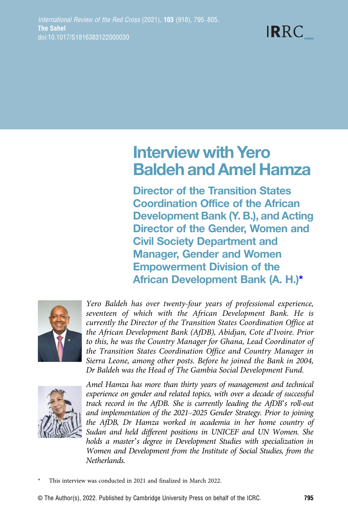# **IRRC**

# Interview with Yero Baldeh and Amel Hamza

Director of the Transition States Coordination Office of the African Development Bank (Y. B.), and Acting Director of the Gender, Women and Civil Society Department and Manager, Gender and Women Empowerment Division of the African Development Bank (A. H.)\*



Yero Baldeh has over twenty-four years of professional experience, seventeen of which with the African Development Bank. He is currently the Director of the Transition States Coordination Office at the African Development Bank (AfDB), Abidjan, Cote d'Ivoire. Prior to this, he was the Country Manager for Ghana, Lead Coordinator of the Transition States Coordination Office and Country Manager in Sierra Leone, among other posts. Before he joined the Bank in 2004, Dr Baldeh was the Head of The Gambia Social Development Fund.



Amel Hamza has more than thirty years of management and technical experience on gender and related topics, with over a decade of successful track record in the AfDB. She is currently leading the AfDB's roll-out and implementation of the 2021–2025 Gender Strategy. Prior to joining the AfDB, Dr Hamza worked in academia in her home country of Sudan and held different positions in UNICEF and UN Women. She holds a master's degree in Development Studies with specialization in Women and Development from the Institute of Social Studies, from the Netherlands.

This interview was conducted in 2021 and finalized in March 2022.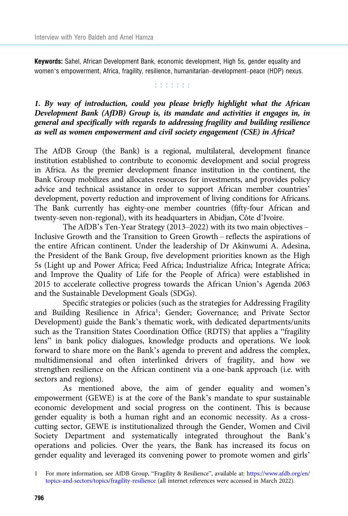Keywords: Sahel, African Development Bank, economic development, High 5s, gender equality and women's empowerment, Africa, fragility, resilience, humanitarian–development–peace (HDP) nexus.

**Editorial** 

# 1. By way of introduction, could you please briefly highlight what the African Development Bank (AfDB) Group is, its mandate and activities it engages in, in general and specifically with regards to addressing fragility and building resilience as well as women empowerment and civil society engagement (CSE) in Africa?

The AfDB Group (the Bank) is a regional, multilateral, development finance institution established to contribute to economic development and social progress in Africa. As the premier development finance institution in the continent, the Bank Group mobilizes and allocates resources for investments, and provides policy advice and technical assistance in order to support African member countries' development, poverty reduction and improvement of living conditions for Africans. The Bank currently has eighty-one member countries (fifty-four African and twenty-seven non-regional), with its headquarters in Abidjan, Côte d'Ivoire.

The AfDB's Ten-Year Strategy (2013–2022) with its two main objectives – Inclusive Growth and the Transition to Green Growth – reflects the aspirations of the entire African continent. Under the leadership of Dr Akinwumi A. Adesina, the President of the Bank Group, five development priorities known as the High 5s (Light up and Power Africa; Feed Africa; Industrialize Africa; Integrate Africa; and Improve the Quality of Life for the People of Africa) were established in 2015 to accelerate collective progress towards the African Union's Agenda 2063 and the Sustainable Development Goals (SDGs).

Specific strategies or policies (such as the strategies for Addressing Fragility and Building Resilience in Africa<sup>1</sup>; Gender; Governance; and Private Sector Development) guide the Bank's thematic work, with dedicated departments/units such as the Transition States Coordination Office (RDTS) that applies a "fragility lens" in bank policy dialogues, knowledge products and operations. We look forward to share more on the Bank's agenda to prevent and address the complex, multidimensional and often interlinked drivers of fragility, and how we strengthen resilience on the African continent via a one-bank approach (i.e. with sectors and regions).

As mentioned above, the aim of gender equality and women's empowerment (GEWE) is at the core of the Bank's mandate to spur sustainable economic development and social progress on the continent. This is because gender equality is both a human right and an economic necessity. As a crosscutting sector, GEWE is institutionalized through the Gender, Women and Civil Society Department and systematically integrated throughout the Bank's operations and policies. Over the years, the Bank has increased its focus on gender equality and leveraged its convening power to promote women and girls'

<sup>1</sup> For more information, see AfDB Group, "Fragility & Resilience", available at: [https://www.afdb.org/en/](https://www.afdb.org/en/topics-and-sectors/topics/fragility-resilience) [topics-and-sectors/topics/fragility-resilience](https://www.afdb.org/en/topics-and-sectors/topics/fragility-resilience) (all internet references were accessed in March 2022).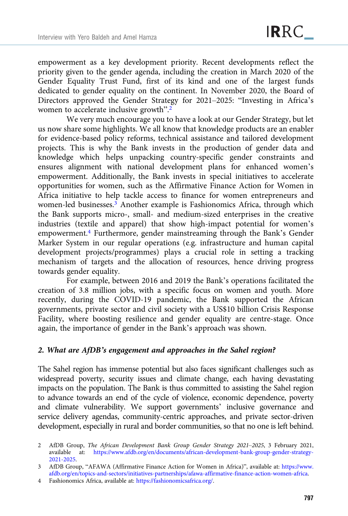empowerment as a key development priority. Recent developments reflect the priority given to the gender agenda, including the creation in March 2020 of the Gender Equality Trust Fund, first of its kind and one of the largest funds dedicated to gender equality on the continent. In November 2020, the Board of Directors approved the Gender Strategy for 2021–2025: "Investing in Africa's women to accelerate inclusive growth".<sup>2</sup>

We very much encourage you to have a look at our Gender Strategy, but let us now share some highlights. We all know that knowledge products are an enabler for evidence-based policy reforms, technical assistance and tailored development projects. This is why the Bank invests in the production of gender data and knowledge which helps unpacking country-specific gender constraints and ensures alignment with national development plans for enhanced women's empowerment. Additionally, the Bank invests in special initiatives to accelerate opportunities for women, such as the Affirmative Finance Action for Women in Africa initiative to help tackle access to finance for women entrepreneurs and women-led businesses.<sup>3</sup> Another example is Fashionomics Africa, through which the Bank supports micro-, small- and medium-sized enterprises in the creative industries (textile and apparel) that show high-impact potential for women's empowerment.<sup>4</sup> Furthermore, gender mainstreaming through the Bank's Gender Marker System in our regular operations (e.g. infrastructure and human capital development projects/programmes) plays a crucial role in setting a tracking mechanism of targets and the allocation of resources, hence driving progress towards gender equality.

For example, between 2016 and 2019 the Bank's operations facilitated the creation of 3.8 million jobs, with a specific focus on women and youth. More recently, during the COVID-19 pandemic, the Bank supported the African governments, private sector and civil society with a US\$10 billion Crisis Response Facility, where boosting resilience and gender equality are centre-stage. Once again, the importance of gender in the Bank's approach was shown.

#### 2. What are AfDB's engagement and approaches in the Sahel region?

The Sahel region has immense potential but also faces significant challenges such as widespread poverty, security issues and climate change, each having devastating impacts on the population. The Bank is thus committed to assisting the Sahel region to advance towards an end of the cycle of violence, economic dependence, poverty and climate vulnerability. We support governments' inclusive governance and service delivery agendas, community-centric approaches, and private sector-driven development, especially in rural and border communities, so that no one is left behind.

<sup>2</sup> AfDB Group, The African Development Bank Group Gender Strategy 2021–2025, 3 February 2021, available at: [https://www.afdb.org/en/documents/african-development-bank-group-gender-strategy-](https://www.afdb.org/en/documents/african-development-bank-group-gender-strategy-2021-2025)[2021-2025](https://www.afdb.org/en/documents/african-development-bank-group-gender-strategy-2021-2025).

<sup>3</sup> AfDB Group, "AFAWA (Affirmative Finance Action for Women in Africa)", available at: [https://www.](https://www.afdb.org/en/topics-and-sectors/initiatives-partnerships/afawa-affirmative-finance-action-women-africa) [afdb.org/en/topics-and-sectors/initiatives-partnerships/afawa-affirmative-finance-action-women-africa.](https://www.afdb.org/en/topics-and-sectors/initiatives-partnerships/afawa-affirmative-finance-action-women-africa)

<sup>4</sup> Fashionomics Africa, available at: [https://fashionomicsafrica.org/.](https://fashionomicsafrica.org/)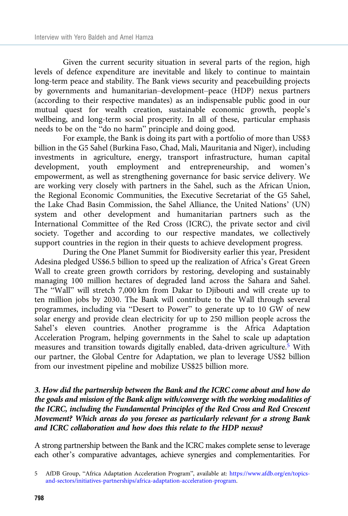Given the current security situation in several parts of the region, high levels of defence expenditure are inevitable and likely to continue to maintain long-term peace and stability. The Bank views security and peacebuilding projects by governments and humanitarian–development–peace (HDP) nexus partners (according to their respective mandates) as an indispensable public good in our mutual quest for wealth creation, sustainable economic growth, people's wellbeing, and long-term social prosperity. In all of these, particular emphasis needs to be on the "do no harm" principle and doing good.

For example, the Bank is doing its part with a portfolio of more than US\$3 billion in the G5 Sahel (Burkina Faso, Chad, Mali, Mauritania and Niger), including investments in agriculture, energy, transport infrastructure, human capital development, youth employment and entrepreneurship, and women's empowerment, as well as strengthening governance for basic service delivery. We are working very closely with partners in the Sahel, such as the African Union, the Regional Economic Communities, the Executive Secretariat of the G5 Sahel, the Lake Chad Basin Commission, the Sahel Alliance, the United Nations' (UN) system and other development and humanitarian partners such as the International Committee of the Red Cross (ICRC), the private sector and civil society. Together and according to our respective mandates, we collectively support countries in the region in their quests to achieve development progress.

During the One Planet Summit for Biodiversity earlier this year, President Adesina pledged US\$6.5 billion to speed up the realization of Africa's Great Green Wall to create green growth corridors by restoring, developing and sustainably managing 100 million hectares of degraded land across the Sahara and Sahel. The "Wall" will stretch 7,000 km from Dakar to Djibouti and will create up to ten million jobs by 2030. The Bank will contribute to the Wall through several programmes, including via "Desert to Power" to generate up to 10 GW of new solar energy and provide clean electricity for up to 250 million people across the Sahel's eleven countries. Another programme is the Africa Adaptation Acceleration Program, helping governments in the Sahel to scale up adaptation measures and transition towards digitally enabled, data-driven agriculture.5 With our partner, the Global Centre for Adaptation, we plan to leverage US\$2 billion from our investment pipeline and mobilize US\$25 billion more.

#### 3. How did the partnership between the Bank and the ICRC come about and how do the goals and mission of the Bank align with/converge with the working modalities of the ICRC, including the Fundamental Principles of the Red Cross and Red Crescent Movement? Which areas do you foresee as particularly relevant for a strong Bank and ICRC collaboration and how does this relate to the HDP nexus?

A strong partnership between the Bank and the ICRC makes complete sense to leverage each other's comparative advantages, achieve synergies and complementarities. For

<sup>5</sup> AfDB Group, "Africa Adaptation Acceleration Program", available at: [https://www.afdb.org/en/topics](https://www.afdb.org/en/topics-and-sectors/initiatives-partnerships/africa-adaptation-acceleration-program)[and-sectors/initiatives-partnerships/africa-adaptation-acceleration-program](https://www.afdb.org/en/topics-and-sectors/initiatives-partnerships/africa-adaptation-acceleration-program).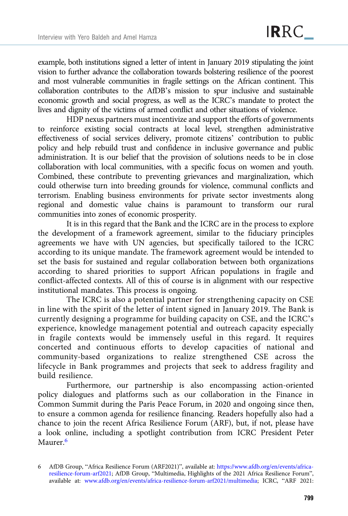example, both institutions signed a letter of intent in January 2019 stipulating the joint vision to further advance the collaboration towards bolstering resilience of the poorest and most vulnerable communities in fragile settings on the African continent. This collaboration contributes to the AfDB's mission to spur inclusive and sustainable economic growth and social progress, as well as the ICRC's mandate to protect the lives and dignity of the victims of armed conflict and other situations of violence.

HDP nexus partners must incentivize and support the efforts of governments to reinforce existing social contracts at local level, strengthen administrative effectiveness of social services delivery, promote citizens' contribution to public policy and help rebuild trust and confidence in inclusive governance and public administration. It is our belief that the provision of solutions needs to be in close collaboration with local communities, with a specific focus on women and youth. Combined, these contribute to preventing grievances and marginalization, which could otherwise turn into breeding grounds for violence, communal conflicts and terrorism. Enabling business environments for private sector investments along regional and domestic value chains is paramount to transform our rural communities into zones of economic prosperity.

It is in this regard that the Bank and the ICRC are in the process to explore the development of a framework agreement, similar to the fiduciary principles agreements we have with UN agencies, but specifically tailored to the ICRC according to its unique mandate. The framework agreement would be intended to set the basis for sustained and regular collaboration between both organizations according to shared priorities to support African populations in fragile and conflict-affected contexts. All of this of course is in alignment with our respective institutional mandates. This process is ongoing.

The ICRC is also a potential partner for strengthening capacity on CSE in line with the spirit of the letter of intent signed in January 2019. The Bank is currently designing a programme for building capacity on CSE, and the ICRC's experience, knowledge management potential and outreach capacity especially in fragile contexts would be immensely useful in this regard. It requires concerted and continuous efforts to develop capacities of national and community-based organizations to realize strengthened CSE across the lifecycle in Bank programmes and projects that seek to address fragility and build resilience.

Furthermore, our partnership is also encompassing action-oriented policy dialogues and platforms such as our collaboration in the Finance in Common Summit during the Paris Peace Forum, in 2020 and ongoing since then, to ensure a common agenda for resilience financing. Readers hopefully also had a chance to join the recent Africa Resilience Forum (ARF), but, if not, please have a look online, including a spotlight contribution from ICRC President Peter Maurer.6

<sup>6</sup> AfDB Group, "Africa Resilience Forum (ARF2021)", available at: [https://www.afdb.org/en/events/africa](https://www.afdb.org/en/events/africa-resilience-forum-arf2021)[resilience-forum-arf2021;](https://www.afdb.org/en/events/africa-resilience-forum-arf2021) AfDB Group, "Multimedia, Highlights of the 2021 Africa Resilience Forum", available at: [www.afdb.org/en/events/africa-resilience-forum-arf2021/multimedia;](http://www.afdb.org/en/events/africa-resilience-forum-arf2021/multimedia) ICRC, "ARF 2021: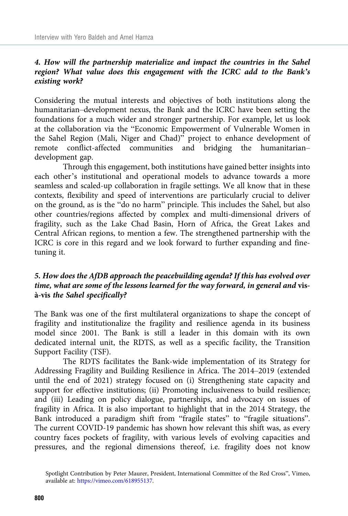# 4. How will the partnership materialize and impact the countries in the Sahel region? What value does this engagement with the ICRC add to the Bank's existing work?

Considering the mutual interests and objectives of both institutions along the humanitarian–development nexus, the Bank and the ICRC have been setting the foundations for a much wider and stronger partnership. For example, let us look at the collaboration via the "Economic Empowerment of Vulnerable Women in the Sahel Region (Mali, Niger and Chad)" project to enhance development of remote conflict-affected communities and bridging the humanitarian– development gap.

Through this engagement, both institutions have gained better insights into each other's institutional and operational models to advance towards a more seamless and scaled-up collaboration in fragile settings. We all know that in these contexts, flexibility and speed of interventions are particularly crucial to deliver on the ground, as is the "do no harm" principle. This includes the Sahel, but also other countries/regions affected by complex and multi-dimensional drivers of fragility, such as the Lake Chad Basin, Horn of Africa, the Great Lakes and Central African regions, to mention a few. The strengthened partnership with the ICRC is core in this regard and we look forward to further expanding and finetuning it.

# 5. How does the AfDB approach the peacebuilding agenda? If this has evolved over time, what are some of the lessons learned for the way forward, in general and visà-vis the Sahel specifically?

The Bank was one of the first multilateral organizations to shape the concept of fragility and institutionalize the fragility and resilience agenda in its business model since 2001. The Bank is still a leader in this domain with its own dedicated internal unit, the RDTS, as well as a specific facility, the Transition Support Facility (TSF).

The RDTS facilitates the Bank-wide implementation of its Strategy for Addressing Fragility and Building Resilience in Africa. The 2014–2019 (extended until the end of 2021) strategy focused on (i) Strengthening state capacity and support for effective institutions; (ii) Promoting inclusiveness to build resilience; and (iii) Leading on policy dialogue, partnerships, and advocacy on issues of fragility in Africa. It is also important to highlight that in the 2014 Strategy, the Bank introduced a paradigm shift from "fragile states" to "fragile situations". The current COVID-19 pandemic has shown how relevant this shift was, as every country faces pockets of fragility, with various levels of evolving capacities and pressures, and the regional dimensions thereof, i.e. fragility does not know

Spotlight Contribution by Peter Maurer, President, International Committee of the Red Cross", Vimeo, available at: <https://vimeo.com/618955137>.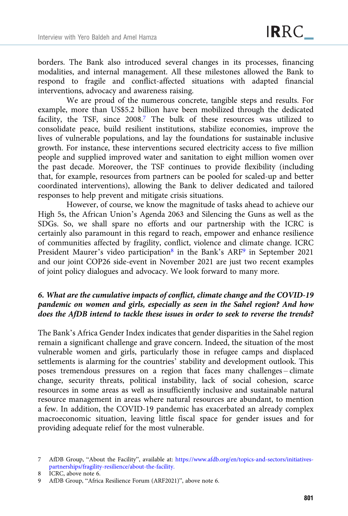borders. The Bank also introduced several changes in its processes, financing modalities, and internal management. All these milestones allowed the Bank to respond to fragile and conflict-affected situations with adapted financial interventions, advocacy and awareness raising.

We are proud of the numerous concrete, tangible steps and results. For example, more than US\$5.2 billion have been mobilized through the dedicated facility, the TSF, since 2008.<sup>7</sup> The bulk of these resources was utilized to consolidate peace, build resilient institutions, stabilize economies, improve the lives of vulnerable populations, and lay the foundations for sustainable inclusive growth. For instance, these interventions secured electricity access to five million people and supplied improved water and sanitation to eight million women over the past decade. Moreover, the TSF continues to provide flexibility (including that, for example, resources from partners can be pooled for scaled-up and better coordinated interventions), allowing the Bank to deliver dedicated and tailored responses to help prevent and mitigate crisis situations.

However, of course, we know the magnitude of tasks ahead to achieve our High 5s, the African Union's Agenda 2063 and Silencing the Guns as well as the SDGs. So, we shall spare no efforts and our partnership with the ICRC is certainly also paramount in this regard to reach, empower and enhance resilience of communities affected by fragility, conflict, violence and climate change. ICRC President Maurer's video participation<sup>8</sup> in the Bank's ARF<sup>9</sup> in September 2021 and our joint COP26 side-event in November 2021 are just two recent examples of joint policy dialogues and advocacy. We look forward to many more.

# 6. What are the cumulative impacts of conflict, climate change and the COVID-19 pandemic on women and girls, especially as seen in the Sahel region? And how does the AfDB intend to tackle these issues in order to seek to reverse the trends?

The Bank's Africa Gender Index indicates that gender disparities in the Sahel region remain a significant challenge and grave concern. Indeed, the situation of the most vulnerable women and girls, particularly those in refugee camps and displaced settlements is alarming for the countries' stability and development outlook. This poses tremendous pressures on a region that faces many challenges – climate change, security threats, political instability, lack of social cohesion, scarce resources in some areas as well as insufficiently inclusive and sustainable natural resource management in areas where natural resources are abundant, to mention a few. In addition, the COVID-19 pandemic has exacerbated an already complex macroeconomic situation, leaving little fiscal space for gender issues and for providing adequate relief for the most vulnerable.

<sup>7</sup> AfDB Group, "About the Facility", available at: [https://www.afdb.org/en/topics-and-sectors/initiatives](https://www.afdb.org/en/topics-and-sectors/initiatives-partnerships/fragility-resilience/about-the-facility.)[partnerships/fragility-resilience/about-the-facility.](https://www.afdb.org/en/topics-and-sectors/initiatives-partnerships/fragility-resilience/about-the-facility.)

<sup>8</sup> ICRC, above note 6.

<sup>9</sup> AfDB Group, "Africa Resilience Forum (ARF2021)", above note 6.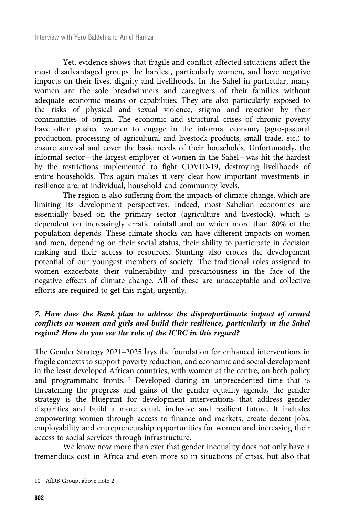Yet, evidence shows that fragile and conflict-affected situations affect the most disadvantaged groups the hardest, particularly women, and have negative impacts on their lives, dignity and livelihoods. In the Sahel in particular, many women are the sole breadwinners and caregivers of their families without adequate economic means or capabilities. They are also particularly exposed to the risks of physical and sexual violence, stigma and rejection by their communities of origin. The economic and structural crises of chronic poverty have often pushed women to engage in the informal economy (agro-pastoral production, processing of agricultural and livestock products, small trade, etc.) to ensure survival and cover the basic needs of their households. Unfortunately, the informal sector – the largest employer of women in the Sahel – was hit the hardest by the restrictions implemented to fight COVID-19, destroying livelihoods of entire households. This again makes it very clear how important investments in resilience are, at individual, household and community levels.

The region is also suffering from the impacts of climate change, which are limiting its development perspectives. Indeed, most Sahelian economies are essentially based on the primary sector (agriculture and livestock), which is dependent on increasingly erratic rainfall and on which more than 80% of the population depends. These climate shocks can have different impacts on women and men, depending on their social status, their ability to participate in decision making and their access to resources. Stunting also erodes the development potential of our youngest members of society. The traditional roles assigned to women exacerbate their vulnerability and precariousness in the face of the negative effects of climate change. All of these are unacceptable and collective efforts are required to get this right, urgently.

# 7. How does the Bank plan to address the disproportionate impact of armed conflicts on women and girls and build their resilience, particularly in the Sahel region? How do you see the role of the ICRC in this regard?

The Gender Strategy 2021–2025 lays the foundation for enhanced interventions in fragile contexts to support poverty reduction, and economic and social development in the least developed African countries, with women at the centre, on both policy and programmatic fronts.10 Developed during an unprecedented time that is threatening the progress and gains of the gender equality agenda, the gender strategy is the blueprint for development interventions that address gender disparities and build a more equal, inclusive and resilient future. It includes empowering women through access to finance and markets, create decent jobs, employability and entrepreneurship opportunities for women and increasing their access to social services through infrastructure.

We know now more than ever that gender inequality does not only have a tremendous cost in Africa and even more so in situations of crisis, but also that

<sup>10</sup> AfDB Group, above note 2.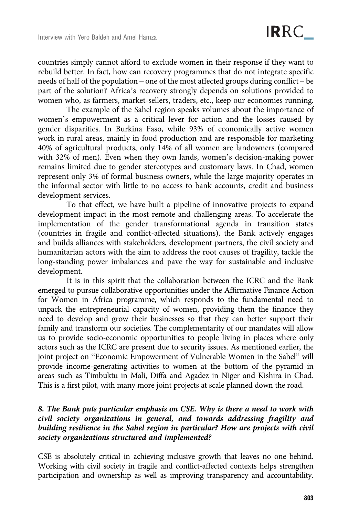countries simply cannot afford to exclude women in their response if they want to rebuild better. In fact, how can recovery programmes that do not integrate specific needs of half of the population – one of the most affected groups during conflict – be part of the solution? Africa's recovery strongly depends on solutions provided to women who, as farmers, market-sellers, traders, etc., keep our economies running.

The example of the Sahel region speaks volumes about the importance of women's empowerment as a critical lever for action and the losses caused by gender disparities. In Burkina Faso, while 93% of economically active women work in rural areas, mainly in food production and are responsible for marketing 40% of agricultural products, only 14% of all women are landowners (compared with 32% of men). Even when they own lands, women's decision-making power remains limited due to gender stereotypes and customary laws. In Chad, women represent only 3% of formal business owners, while the large majority operates in the informal sector with little to no access to bank accounts, credit and business development services.

To that effect, we have built a pipeline of innovative projects to expand development impact in the most remote and challenging areas. To accelerate the implementation of the gender transformational agenda in transition states (countries in fragile and conflict-affected situations), the Bank actively engages and builds alliances with stakeholders, development partners, the civil society and humanitarian actors with the aim to address the root causes of fragility, tackle the long-standing power imbalances and pave the way for sustainable and inclusive development.

It is in this spirit that the collaboration between the ICRC and the Bank emerged to pursue collaborative opportunities under the Affirmative Finance Action for Women in Africa programme, which responds to the fundamental need to unpack the entrepreneurial capacity of women, providing them the finance they need to develop and grow their businesses so that they can better support their family and transform our societies. The complementarity of our mandates will allow us to provide socio-economic opportunities to people living in places where only actors such as the ICRC are present due to security issues. As mentioned earlier, the joint project on "Economic Empowerment of Vulnerable Women in the Sahel" will provide income-generating activities to women at the bottom of the pyramid in areas such as Timbuktu in Mali, Diffa and Agadez in Niger and Kishira in Chad. This is a first pilot, with many more joint projects at scale planned down the road.

#### 8. The Bank puts particular emphasis on CSE. Why is there a need to work with civil society organizations in general, and towards addressing fragility and building resilience in the Sahel region in particular? How are projects with civil society organizations structured and implemented?

CSE is absolutely critical in achieving inclusive growth that leaves no one behind. Working with civil society in fragile and conflict-affected contexts helps strengthen participation and ownership as well as improving transparency and accountability.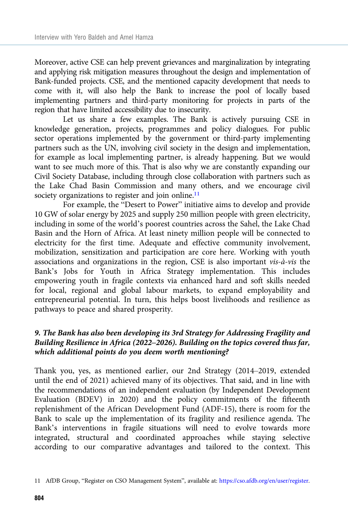Moreover, active CSE can help prevent grievances and marginalization by integrating and applying risk mitigation measures throughout the design and implementation of Bank-funded projects. CSE, and the mentioned capacity development that needs to come with it, will also help the Bank to increase the pool of locally based implementing partners and third-party monitoring for projects in parts of the region that have limited accessibility due to insecurity.

Let us share a few examples. The Bank is actively pursuing CSE in knowledge generation, projects, programmes and policy dialogues. For public sector operations implemented by the government or third-party implementing partners such as the UN, involving civil society in the design and implementation, for example as local implementing partner, is already happening. But we would want to see much more of this. That is also why we are constantly expanding our Civil Society Database, including through close collaboration with partners such as the Lake Chad Basin Commission and many others, and we encourage civil society organizations to register and join online.<sup>11</sup>

For example, the "Desert to Power" initiative aims to develop and provide 10 GW of solar energy by 2025 and supply 250 million people with green electricity, including in some of the world's poorest countries across the Sahel, the Lake Chad Basin and the Horn of Africa. At least ninety million people will be connected to electricity for the first time. Adequate and effective community involvement, mobilization, sensitization and participation are core here. Working with youth associations and organizations in the region, CSE is also important vis-à-vis the Bank's Jobs for Youth in Africa Strategy implementation. This includes empowering youth in fragile contexts via enhanced hard and soft skills needed for local, regional and global labour markets, to expand employability and entrepreneurial potential. In turn, this helps boost livelihoods and resilience as pathways to peace and shared prosperity.

#### 9. The Bank has also been developing its 3rd Strategy for Addressing Fragility and Building Resilience in Africa (2022–2026). Building on the topics covered thus far, which additional points do you deem worth mentioning?

Thank you, yes, as mentioned earlier, our 2nd Strategy (2014–2019, extended until the end of 2021) achieved many of its objectives. That said, and in line with the recommendations of an independent evaluation (by Independent Development Evaluation (BDEV) in 2020) and the policy commitments of the fifteenth replenishment of the African Development Fund (ADF-15), there is room for the Bank to scale up the implementation of its fragility and resilience agenda. The Bank's interventions in fragile situations will need to evolve towards more integrated, structural and coordinated approaches while staying selective according to our comparative advantages and tailored to the context. This

<sup>11</sup> AfDB Group, "Register on CSO Management System", available at: <https://cso.afdb.org/en/user/register>.